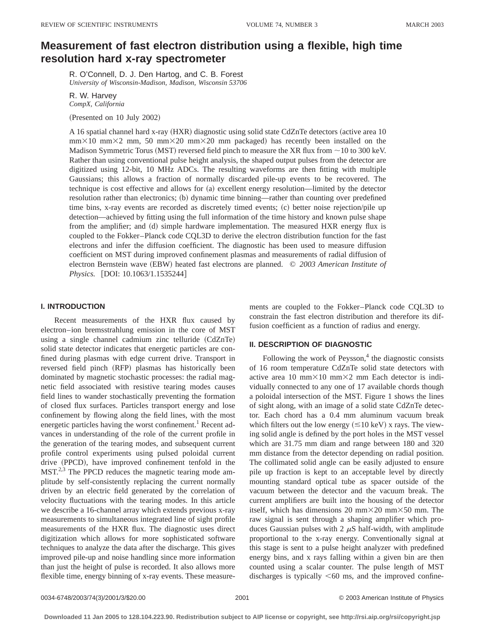# **Measurement of fast electron distribution using a flexible, high time resolution hard x-ray spectrometer**

R. O'Connell, D. J. Den Hartog, and C. B. Forest *University of Wisconsin-Madison, Madison, Wisconsin 53706*

## R. W. Harvey *CompX, California*

(Presented on 10 July 2002)

A 16 spatial channel hard x-ray  $(HXR)$  diagnostic using solid state CdZnTe detectors (active area 10  $mm\times10$  mm $\times2$  mm, 50 mm $\times20$  mm $\times20$  mm packaged) has recently been installed on the Madison Symmetric Torus (MST) reversed field pinch to measure the XR flux from  $\sim$ 10 to 300 keV. Rather than using conventional pulse height analysis, the shaped output pulses from the detector are digitized using 12-bit, 10 MHz ADCs. The resulting waveforms are then fitting with multiple Gaussians; this allows a fraction of normally discarded pile-up events to be recovered. The technique is cost effective and allows for (a) excellent energy resolution—limited by the detector resolution rather than electronics; (b) dynamic time binning—rather than counting over predefined time bins, x-ray events are recorded as discretely timed events; (c) better noise rejection/pile up detection—achieved by fitting using the full information of the time history and known pulse shape from the amplifier; and (d) simple hardware implementation. The measured HXR energy flux is coupled to the Fokker–Planck code CQL3D to derive the electron distribution function for the fast electrons and infer the diffusion coefficient. The diagnostic has been used to measure diffusion coefficient on MST during improved confinement plasmas and measurements of radial diffusion of electron Bernstein wave (EBW) heated fast electrons are planned. © 2003 American Institute of *Physics.* [DOI: 10.1063/1.1535244]

### **I. INTRODUCTION**

Recent measurements of the HXR flux caused by electron–ion bremsstrahlung emission in the core of MST using a single channel cadmium zinc telluride  $(CdZnTe)$ solid state detector indicates that energetic particles are confined during plasmas with edge current drive. Transport in reversed field pinch (RFP) plasmas has historically been dominated by magnetic stochastic processes: the radial magnetic field associated with resistive tearing modes causes field lines to wander stochastically preventing the formation of closed flux surfaces. Particles transport energy and lose confinement by flowing along the field lines, with the most energetic particles having the worst confinement.<sup>1</sup> Recent advances in understanding of the role of the current profile in the generation of the tearing modes, and subsequent current profile control experiments using pulsed poloidal current drive (PPCD), have improved confinement tenfold in the  $MST<sup>2,3</sup>$  The PPCD reduces the magnetic tearing mode amplitude by self-consistently replacing the current normally driven by an electric field generated by the correlation of velocity fluctuations with the tearing modes. In this article we describe a 16-channel array which extends previous x-ray measurements to simultaneous integrated line of sight profile measurements of the HXR flux. The diagnostic uses direct digitization which allows for more sophisticated software techniques to analyze the data after the discharge. This gives improved pile-up and noise handling since more information than just the height of pulse is recorded. It also allows more flexible time, energy binning of x-ray events. These measurements are coupled to the Fokker–Planck code CQL3D to constrain the fast electron distribution and therefore its diffusion coefficient as a function of radius and energy.

#### **II. DESCRIPTION OF DIAGNOSTIC**

Following the work of Peysson, $4$  the diagnostic consists of 16 room temperature CdZnTe solid state detectors with active area 10 mm $\times$ 10 mm $\times$ 2 mm Each detector is individually connected to any one of 17 available chords though a poloidal intersection of the MST. Figure 1 shows the lines of sight along, with an image of a solid state CdZnTe detector. Each chord has a 0.4 mm aluminum vacuum break which filters out the low energy  $(\leq 10 \text{ keV})$  x rays. The viewing solid angle is defined by the port holes in the MST vessel which are 31.75 mm diam and range between 180 and 320 mm distance from the detector depending on radial position. The collimated solid angle can be easily adjusted to ensure pile up fraction is kept to an acceptable level by directly mounting standard optical tube as spacer outside of the vacuum between the detector and the vacuum break. The current amplifiers are built into the housing of the detector itself, which has dimensions 20 mm $\times$ 20 mm $\times$ 50 mm. The raw signal is sent through a shaping amplifier which produces Gaussian pulses with  $2 \mu S$  half-width, with amplitude proportional to the x-ray energy. Conventionally signal at this stage is sent to a pulse height analyzer with predefined energy bins, and x rays falling within a given bin are then counted using a scalar counter. The pulse length of MST discharges is typically  $<60$  ms, and the improved confine-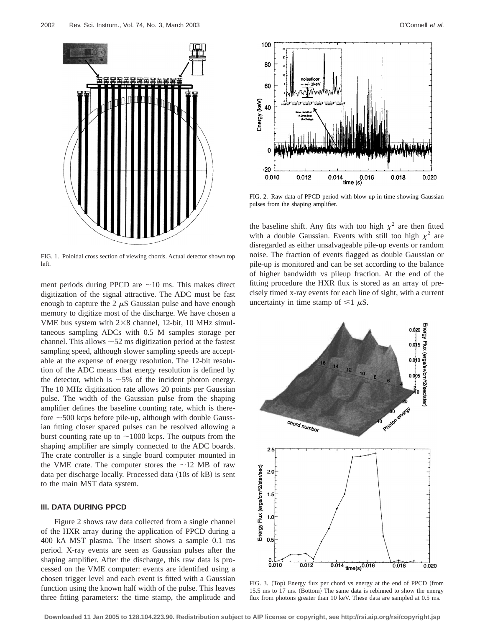

FIG. 1. Poloidal cross section of viewing chords. Actual detector shown top left.

ment periods during PPCD are  $\sim$ 10 ms. This makes direct digitization of the signal attractive. The ADC must be fast enough to capture the 2  $\mu$ S Gaussian pulse and have enough memory to digitize most of the discharge. We have chosen a VME bus system with  $2\times8$  channel, 12-bit, 10 MHz simultaneous sampling ADCs with 0.5 M samples storage per channel. This allows  $\sim$  52 ms digitization period at the fastest sampling speed, although slower sampling speeds are acceptable at the expense of energy resolution. The 12-bit resolution of the ADC means that energy resolution is defined by the detector, which is  $\sim$  5% of the incident photon energy. The 10 MHz digitization rate allows 20 points per Gaussian pulse. The width of the Gaussian pulse from the shaping amplifier defines the baseline counting rate, which is therefore  $\sim$  500 kcps before pile-up, although with double Gaussian fitting closer spaced pulses can be resolved allowing a burst counting rate up to  $\sim$ 1000 kcps. The outputs from the shaping amplifier are simply connected to the ADC boards. The crate controller is a single board computer mounted in the VME crate. The computer stores the  $\sim$ 12 MB of raw data per discharge locally. Processed data (10s of kB) is sent to the main MST data system.

#### **III. DATA DURING PPCD**

Figure 2 shows raw data collected from a single channel of the HXR array during the application of PPCD during a 400 kA MST plasma. The insert shows a sample 0.1 ms period. X-ray events are seen as Gaussian pulses after the shaping amplifier. After the discharge, this raw data is processed on the VME computer: events are identified using a chosen trigger level and each event is fitted with a Gaussian function using the known half width of the pulse. This leaves three fitting parameters: the time stamp, the amplitude and



FIG. 2. Raw data of PPCD period with blow-up in time showing Gaussian pulses from the shaping amplifier.

the baseline shift. Any fits with too high  $\chi^2$  are then fitted with a double Gaussian. Events with still too high  $\chi^2$  are disregarded as either unsalvageable pile-up events or random noise. The fraction of events flagged as double Gaussian or pile-up is monitored and can be set according to the balance of higher bandwidth vs pileup fraction. At the end of the fitting procedure the HXR flux is stored as an array of precisely timed x-ray events for each line of sight, with a current uncertainty in time stamp of  $\leq 1$   $\mu$ S.



FIG. 3. (Top) Energy flux per chord vs energy at the end of PPCD (from 15.5 ms to 17 ms. (Bottom) The same data is rebinned to show the energy flux from photons greater than 10 keV. These data are sampled at 0.5 ms.

**Downloaded 11 Jan 2005 to 128.104.223.90. Redistribution subject to AIP license or copyright, see http://rsi.aip.org/rsi/copyright.jsp**